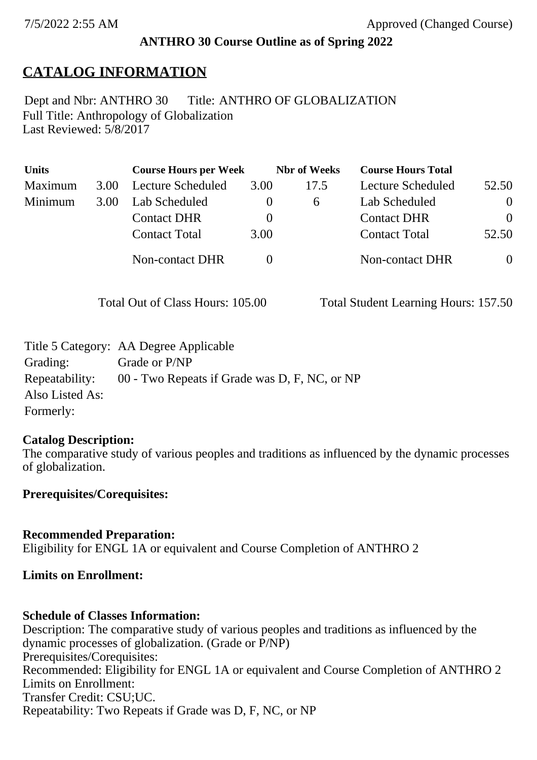## **ANTHRO 30 Course Outline as of Spring 2022**

# **CATALOG INFORMATION**

Full Title: Anthropology of Globalization Last Reviewed: 5/8/2017 Dept and Nbr: ANTHRO 30 Title: ANTHRO OF GLOBALIZATION

| <b>Units</b> |      | <b>Course Hours per Week</b> |          | <b>Nbr</b> of Weeks | <b>Course Hours Total</b> |          |
|--------------|------|------------------------------|----------|---------------------|---------------------------|----------|
| Maximum      | 3.00 | Lecture Scheduled            | 3.00     | 17.5                | Lecture Scheduled         | 52.50    |
| Minimum      | 3.00 | Lab Scheduled                | $\theta$ | 6                   | Lab Scheduled             | $\theta$ |
|              |      | <b>Contact DHR</b>           | $\theta$ |                     | <b>Contact DHR</b>        | $\Omega$ |
|              |      | <b>Contact Total</b>         | 3.00     |                     | <b>Contact Total</b>      | 52.50    |
|              |      | Non-contact DHR              |          |                     | <b>Non-contact DHR</b>    | $\theta$ |

Total Out of Class Hours: 105.00 Total Student Learning Hours: 157.50

|                 | Title 5 Category: AA Degree Applicable        |
|-----------------|-----------------------------------------------|
| Grading:        | Grade or P/NP                                 |
| Repeatability:  | 00 - Two Repeats if Grade was D, F, NC, or NP |
| Also Listed As: |                                               |
| Formerly:       |                                               |

### **Catalog Description:**

The comparative study of various peoples and traditions as influenced by the dynamic processes of globalization.

### **Prerequisites/Corequisites:**

**Recommended Preparation:** Eligibility for ENGL 1A or equivalent and Course Completion of ANTHRO 2

### **Limits on Enrollment:**

### **Schedule of Classes Information:**

Description: The comparative study of various peoples and traditions as influenced by the dynamic processes of globalization. (Grade or P/NP) Prerequisites/Corequisites: Recommended: Eligibility for ENGL 1A or equivalent and Course Completion of ANTHRO 2 Limits on Enrollment: Transfer Credit: CSU;UC. Repeatability: Two Repeats if Grade was D, F, NC, or NP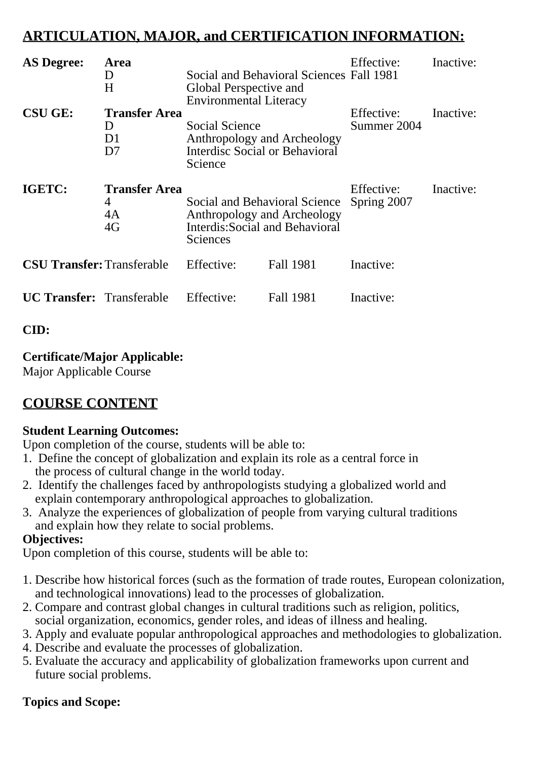# **ARTICULATION, MAJOR, and CERTIFICATION INFORMATION:**

| <b>AS Degree:</b>                 | <b>Area</b><br>I)<br>H                                       | Global Perspective and<br><b>Environmental Literacy</b>                                                     | Social and Behavioral Sciences Fall 1981 | Effective:                | Inactive: |
|-----------------------------------|--------------------------------------------------------------|-------------------------------------------------------------------------------------------------------------|------------------------------------------|---------------------------|-----------|
| <b>CSU GE:</b>                    | <b>Transfer Area</b><br>$\mathsf{D}$<br>D1<br>D <sub>7</sub> | <b>Social Science</b><br>Anthropology and Archeology<br><b>Interdisc Social or Behavioral</b><br>Science    |                                          | Effective:<br>Summer 2004 | Inactive: |
| IGETC:                            | <b>Transfer Area</b><br>4<br>4A<br>4G                        | Social and Behavioral Science<br>Anthropology and Archeology<br>Interdis: Social and Behavioral<br>Sciences |                                          | Effective:<br>Spring 2007 | Inactive: |
| <b>CSU Transfer:</b> Transferable |                                                              | Effective:                                                                                                  | <b>Fall 1981</b>                         | Inactive:                 |           |
| <b>UC Transfer:</b> Transferable  |                                                              | Effective:                                                                                                  | Fall 1981                                | Inactive:                 |           |

# **CID:**

# **Certificate/Major Applicable:**

[Major Applicable Course](SR_ClassCheck.aspx?CourseKey=ANTHRO30)

# **COURSE CONTENT**

# **Student Learning Outcomes:**

Upon completion of the course, students will be able to:

- 1. Define the concept of globalization and explain its role as a central force in the process of cultural change in the world today.
- 2. Identify the challenges faced by anthropologists studying a globalized world and explain contemporary anthropological approaches to globalization.
- 3. Analyze the experiences of globalization of people from varying cultural traditions and explain how they relate to social problems.

### **Objectives:**

Upon completion of this course, students will be able to:

- 1. Describe how historical forces (such as the formation of trade routes, European colonization, and technological innovations) lead to the processes of globalization.
- 2. Compare and contrast global changes in cultural traditions such as religion, politics, social organization, economics, gender roles, and ideas of illness and healing.
- 3. Apply and evaluate popular anthropological approaches and methodologies to globalization.
- 4. Describe and evaluate the processes of globalization.
- 5. Evaluate the accuracy and applicability of globalization frameworks upon current and future social problems.

# **Topics and Scope:**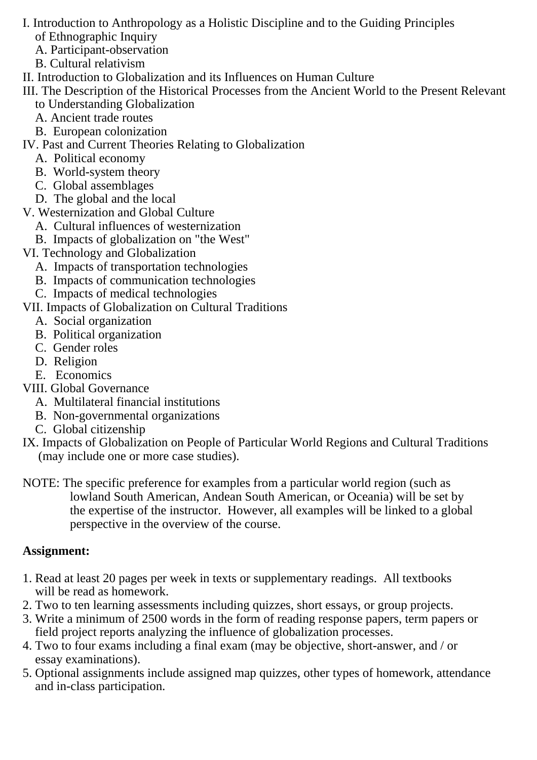- I. Introduction to Anthropology as a Holistic Discipline and to the Guiding Principles of Ethnographic Inquiry
	- A. Participant-observation
	- B. Cultural relativism
- II. Introduction to Globalization and its Influences on Human Culture
- III. The Description of the Historical Processes from the Ancient World to the Present Relevant to Understanding Globalization
	- A. Ancient trade routes
	- B. European colonization
- IV. Past and Current Theories Relating to Globalization
	- A. Political economy
	- B. World-system theory
	- C. Global assemblages
	- D. The global and the local
- V. Westernization and Global Culture
	- A. Cultural influences of westernization
	- B. Impacts of globalization on "the West"
- VI. Technology and Globalization
	- A. Impacts of transportation technologies
	- B. Impacts of communication technologies
	- C. Impacts of medical technologies
- VII. Impacts of Globalization on Cultural Traditions
	- A. Social organization
	- B. Political organization
	- C. Gender roles
	- D. Religion
	- E. Economics
- VIII. Global Governance
	- A. Multilateral financial institutions
	- B. Non-governmental organizations
	- C. Global citizenship
- IX. Impacts of Globalization on People of Particular World Regions and Cultural Traditions (may include one or more case studies).
- NOTE: The specific preference for examples from a particular world region (such as lowland South American, Andean South American, or Oceania) will be set by the expertise of the instructor. However, all examples will be linked to a global perspective in the overview of the course.

# **Assignment:**

- 1. Read at least 20 pages per week in texts or supplementary readings. All textbooks will be read as homework.
- 2. Two to ten learning assessments including quizzes, short essays, or group projects.
- 3. Write a minimum of 2500 words in the form of reading response papers, term papers or field project reports analyzing the influence of globalization processes.
- 4. Two to four exams including a final exam (may be objective, short-answer, and / or essay examinations).
- 5. Optional assignments include assigned map quizzes, other types of homework, attendance and in-class participation.